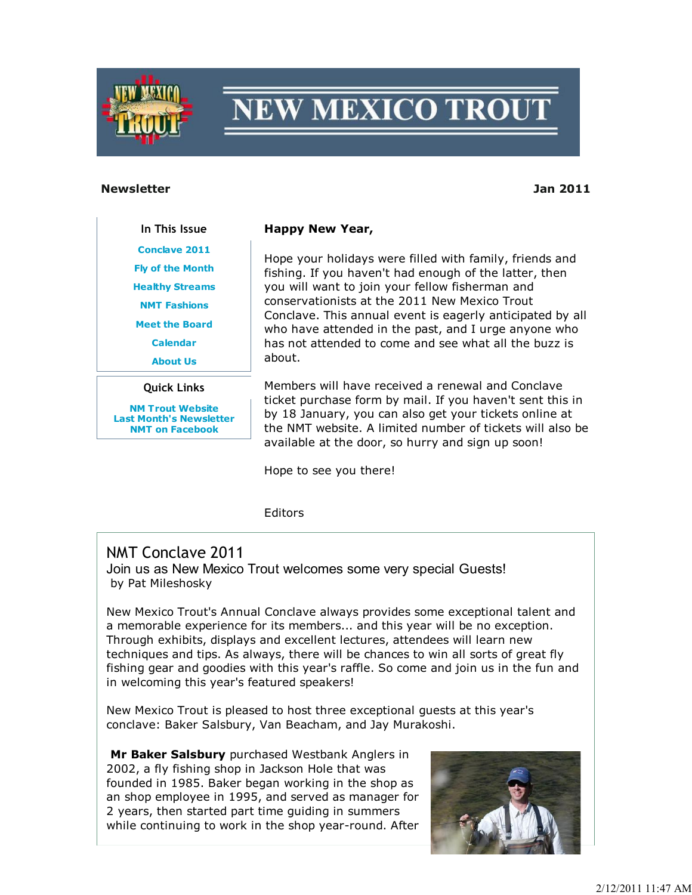

# **NEW MEXICO TROUT**

#### Newsletter Jan 2011

#### In This Issue

Conclave 2011 Fly of the Month

Healthy Streams

NMT Fashions

Meet the Board

Calendar

About Us

Quick Links

NM Trout Website Last Month's Newsletter NMT on Facebook

#### Happy New Year,

Hope your holidays were filled with family, friends and fishing. If you haven't had enough of the latter, then you will want to join your fellow fisherman and conservationists at the 2011 New Mexico Trout Conclave. This annual event is eagerly anticipated by all who have attended in the past, and I urge anyone who has not attended to come and see what all the buzz is about.

Members will have received a renewal and Conclave ticket purchase form by mail. If you haven't sent this in by 18 January, you can also get your tickets online at the NMT website. A limited number of tickets will also be available at the door, so hurry and sign up soon!

Hope to see you there!

#### Editors

# NMT Conclave 2011

Join us as New Mexico Trout welcomes some very special Guests! by Pat Mileshosky

New Mexico Trout's Annual Conclave always provides some exceptional talent and a memorable experience for its members... and this year will be no exception. Through exhibits, displays and excellent lectures, attendees will learn new techniques and tips. As always, there will be chances to win all sorts of great fly fishing gear and goodies with this year's raffle. So come and join us in the fun and in welcoming this year's featured speakers!

New Mexico Trout is pleased to host three exceptional guests at this year's conclave: Baker Salsbury, Van Beacham, and Jay Murakoshi.

Mr Baker Salsbury purchased Westbank Anglers in 2002, a fly fishing shop in Jackson Hole that was founded in 1985. Baker began working in the shop as an shop employee in 1995, and served as manager for 2 years, then started part time guiding in summers while continuing to work in the shop year-round. After

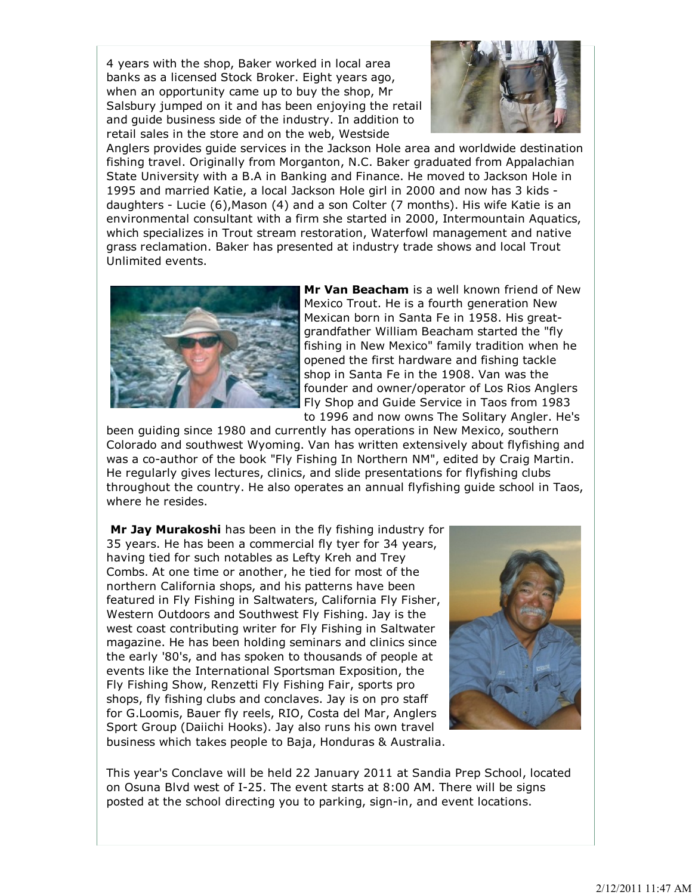4 years with the shop, Baker worked in local area banks as a licensed Stock Broker. Eight years ago, when an opportunity came up to buy the shop, Mr Salsbury jumped on it and has been enjoying the retail and guide business side of the industry. In addition to retail sales in the store and on the web, Westside



Anglers provides guide services in the Jackson Hole area and worldwide destination fishing travel. Originally from Morganton, N.C. Baker graduated from Appalachian State University with a B.A in Banking and Finance. He moved to Jackson Hole in 1995 and married Katie, a local Jackson Hole girl in 2000 and now has 3 kids daughters - Lucie (6),Mason (4) and a son Colter (7 months). His wife Katie is an environmental consultant with a firm she started in 2000, Intermountain Aquatics, which specializes in Trout stream restoration, Waterfowl management and native grass reclamation. Baker has presented at industry trade shows and local Trout Unlimited events.



Mr Van Beacham is a well known friend of New Mexico Trout. He is a fourth generation New Mexican born in Santa Fe in 1958. His greatgrandfather William Beacham started the "fly fishing in New Mexico" family tradition when he opened the first hardware and fishing tackle shop in Santa Fe in the 1908. Van was the founder and owner/operator of Los Rios Anglers Fly Shop and Guide Service in Taos from 1983 to 1996 and now owns The Solitary Angler. He's

been guiding since 1980 and currently has operations in New Mexico, southern Colorado and southwest Wyoming. Van has written extensively about flyfishing and was a co-author of the book "Fly Fishing In Northern NM", edited by Craig Martin. He regularly gives lectures, clinics, and slide presentations for flyfishing clubs throughout the country. He also operates an annual flyfishing guide school in Taos, where he resides.

Mr Jay Murakoshi has been in the fly fishing industry for 35 years. He has been a commercial fly tyer for 34 years, having tied for such notables as Lefty Kreh and Trey Combs. At one time or another, he tied for most of the northern California shops, and his patterns have been featured in Fly Fishing in Saltwaters, California Fly Fisher, Western Outdoors and Southwest Fly Fishing. Jay is the west coast contributing writer for Fly Fishing in Saltwater magazine. He has been holding seminars and clinics since the early '80's, and has spoken to thousands of people at events like the International Sportsman Exposition, the Fly Fishing Show, Renzetti Fly Fishing Fair, sports pro shops, fly fishing clubs and conclaves. Jay is on pro staff for G.Loomis, Bauer fly reels, RIO, Costa del Mar, Anglers Sport Group (Daiichi Hooks). Jay also runs his own travel business which takes people to Baja, Honduras & Australia.



This year's Conclave will be held 22 January 2011 at Sandia Prep School, located on Osuna Blvd west of I-25. The event starts at 8:00 AM. There will be signs posted at the school directing you to parking, sign-in, and event locations.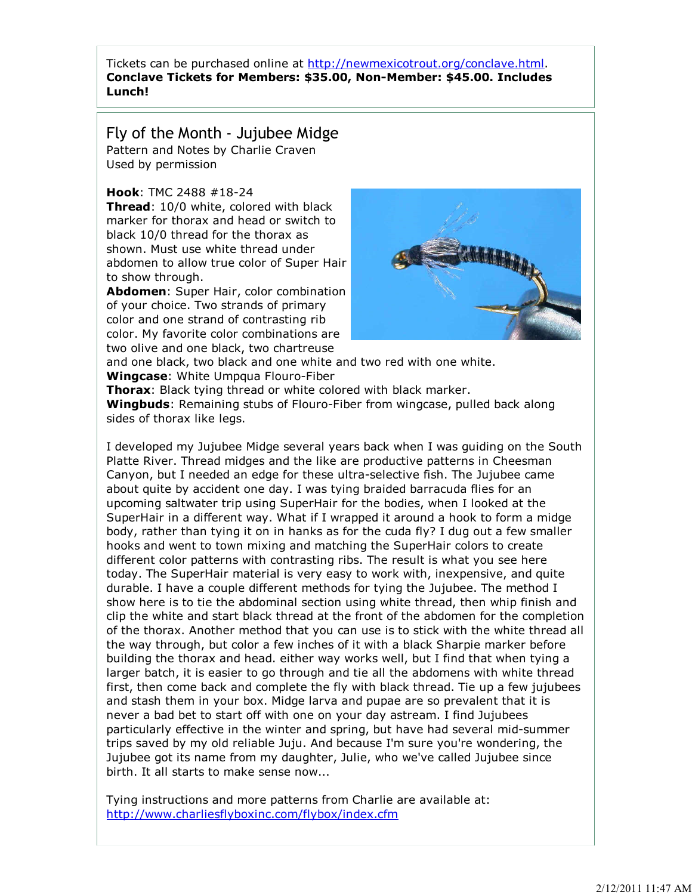Tickets can be purchased online at http://newmexicotrout.org/conclave.html. Conclave Tickets for Members: \$35.00, Non-Member: \$45.00. Includes Lunch!

Fly of the Month - Jujubee Midge Pattern and Notes by Charlie Craven Used by permission

Hook: TMC 2488 #18-24

Thread: 10/0 white, colored with black marker for thorax and head or switch to black 10/0 thread for the thorax as shown. Must use white thread under abdomen to allow true color of Super Hair to show through.

Abdomen: Super Hair, color combination of your choice. Two strands of primary color and one strand of contrasting rib color. My favorite color combinations are two olive and one black, two chartreuse



and one black, two black and one white and two red with one white. Wingcase: White Umpqua Flouro-Fiber **Thorax:** Black tying thread or white colored with black marker. Wingbuds: Remaining stubs of Flouro-Fiber from wingcase, pulled back along sides of thorax like legs.

I developed my Jujubee Midge several years back when I was guiding on the South Platte River. Thread midges and the like are productive patterns in Cheesman Canyon, but I needed an edge for these ultra-selective fish. The Jujubee came about quite by accident one day. I was tying braided barracuda flies for an upcoming saltwater trip using SuperHair for the bodies, when I looked at the SuperHair in a different way. What if I wrapped it around a hook to form a midge body, rather than tying it on in hanks as for the cuda fly? I dug out a few smaller hooks and went to town mixing and matching the SuperHair colors to create different color patterns with contrasting ribs. The result is what you see here today. The SuperHair material is very easy to work with, inexpensive, and quite durable. I have a couple different methods for tying the Jujubee. The method I show here is to tie the abdominal section using white thread, then whip finish and clip the white and start black thread at the front of the abdomen for the completion of the thorax. Another method that you can use is to stick with the white thread all the way through, but color a few inches of it with a black Sharpie marker before building the thorax and head. either way works well, but I find that when tying a larger batch, it is easier to go through and tie all the abdomens with white thread first, then come back and complete the fly with black thread. Tie up a few jujubees and stash them in your box. Midge larva and pupae are so prevalent that it is never a bad bet to start off with one on your day astream. I find Jujubees particularly effective in the winter and spring, but have had several mid-summer trips saved by my old reliable Juju. And because I'm sure you're wondering, the Jujubee got its name from my daughter, Julie, who we've called Jujubee since birth. It all starts to make sense now...

Tying instructions and more patterns from Charlie are available at: http://www.charliesflyboxinc.com/flybox/index.cfm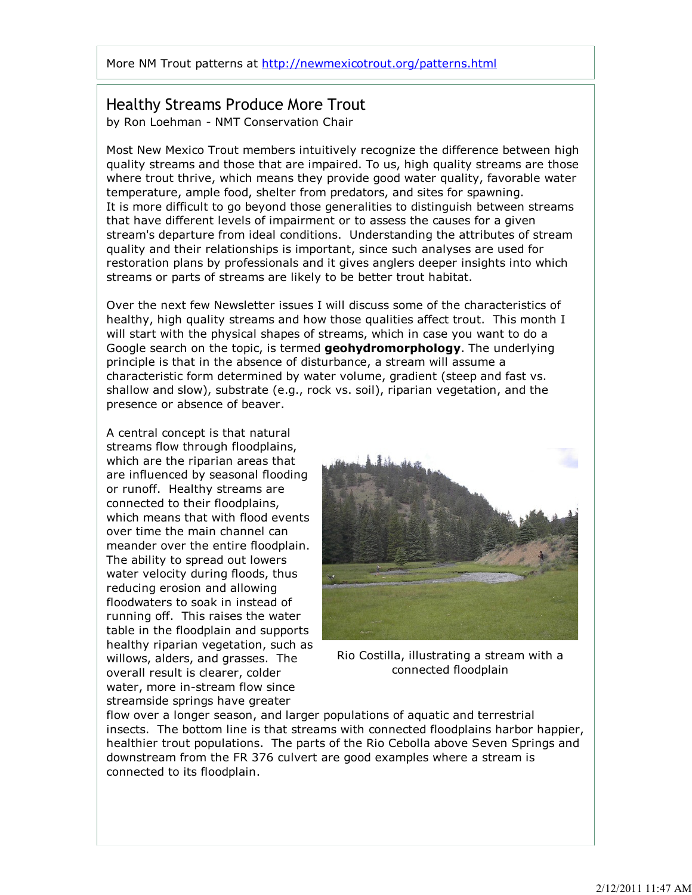More NM Trout patterns at http://newmexicotrout.org/patterns.html

### Healthy Streams Produce More Trout

by Ron Loehman - NMT Conservation Chair

Most New Mexico Trout members intuitively recognize the difference between high quality streams and those that are impaired. To us, high quality streams are those where trout thrive, which means they provide good water quality, favorable water temperature, ample food, shelter from predators, and sites for spawning. It is more difficult to go beyond those generalities to distinguish between streams that have different levels of impairment or to assess the causes for a given stream's departure from ideal conditions. Understanding the attributes of stream quality and their relationships is important, since such analyses are used for restoration plans by professionals and it gives anglers deeper insights into which streams or parts of streams are likely to be better trout habitat.

Over the next few Newsletter issues I will discuss some of the characteristics of healthy, high quality streams and how those qualities affect trout. This month I will start with the physical shapes of streams, which in case you want to do a Google search on the topic, is termed **geohydromorphology**. The underlying principle is that in the absence of disturbance, a stream will assume a characteristic form determined by water volume, gradient (steep and fast vs. shallow and slow), substrate (e.g., rock vs. soil), riparian vegetation, and the presence or absence of beaver.

A central concept is that natural streams flow through floodplains, which are the riparian areas that are influenced by seasonal flooding or runoff. Healthy streams are connected to their floodplains, which means that with flood events over time the main channel can meander over the entire floodplain. The ability to spread out lowers water velocity during floods, thus reducing erosion and allowing floodwaters to soak in instead of running off. This raises the water table in the floodplain and supports healthy riparian vegetation, such as willows, alders, and grasses. The overall result is clearer, colder water, more in-stream flow since streamside springs have greater



Rio Costilla, illustrating a stream with a connected floodplain

flow over a longer season, and larger populations of aquatic and terrestrial insects. The bottom line is that streams with connected floodplains harbor happier, healthier trout populations. The parts of the Rio Cebolla above Seven Springs and downstream from the FR 376 culvert are good examples where a stream is connected to its floodplain.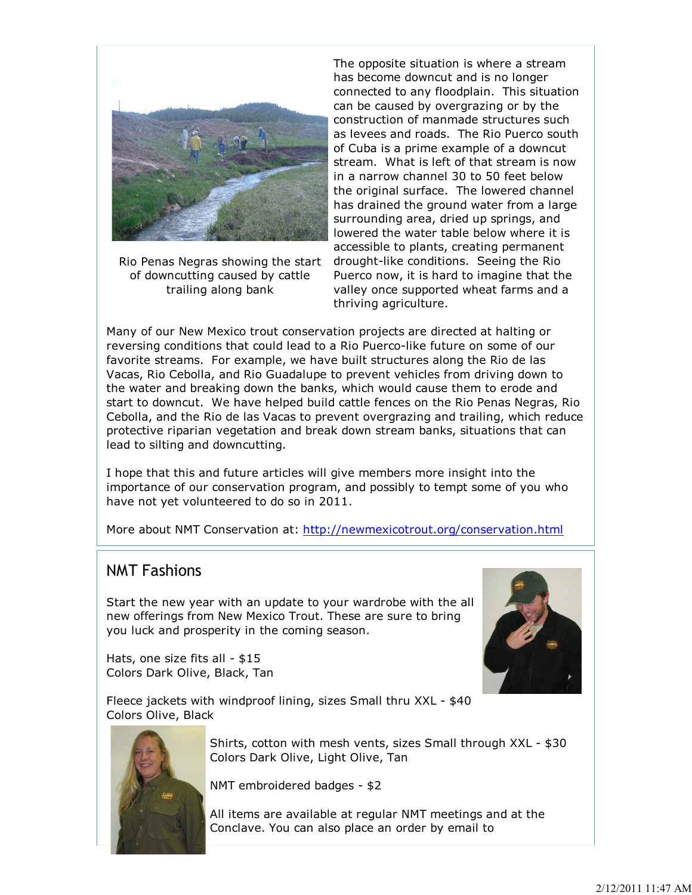

Rio Penas Negras showing the start of downcutting caused by cattle trailing along bank

The opposite situation is where a stream has become downcut and is no longer connected to any floodplain. This situation can be caused by overgrazing or by the construction of manmade structures such as levees and roads. The Rio Puerco south of Cuba is a prime example of a downcut stream. What is left of that stream is now in a narrow channel 30 to 50 feet below the original surface. The lowered channel has drained the ground water from a large surrounding area, dried up springs, and lowered the water table below where it is accessible to plants, creating permanent drought-like conditions. Seeing the Rio Puerco now, it is hard to imagine that the valley once supported wheat farms and a thriving agriculture.

Many of our New Mexico trout conservation projects are directed at halting or reversing conditions that could lead to a Rio Puerco-like future on some of our favorite streams. For example, we have built structures along the Rio de las Vacas, Rio Cebolla, and Rio Guadalupe to prevent vehicles from driving down to the water and breaking down the banks, which would cause them to erode and start to downcut. We have helped build cattle fences on the Rio Penas Negras, Rio Cebolla, and the Rio de las Vacas to prevent overgrazing and trailing, which reduce protective riparian vegetation and break down stream banks, situations that can lead to silting and downcutting.

I hope that this and future articles will give members more insight into the importance of our conservation program, and possibly to tempt some of you who have not yet volunteered to do so in 2011.

More about NMT Conservation at: http://newmexicotrout.org/conservation.html

# NMT Fashions

Start the new year with an update to your wardrobe with the all new offerings from New Mexico Trout. These are sure to bring you luck and prosperity in the coming season.

Hats, one size fits all - \$15 Colors Dark Olive, Black, Tan



Fleece jackets with windproof lining, sizes Small thru XXL - \$40 Colors Olive, Black



Shirts, cotton with mesh vents, sizes Small through XXL - \$30 Colors Dark Olive, Light Olive, Tan

NMT embroidered badges - \$2

All items are available at regular NMT meetings and at the Conclave. You can also place an order by email to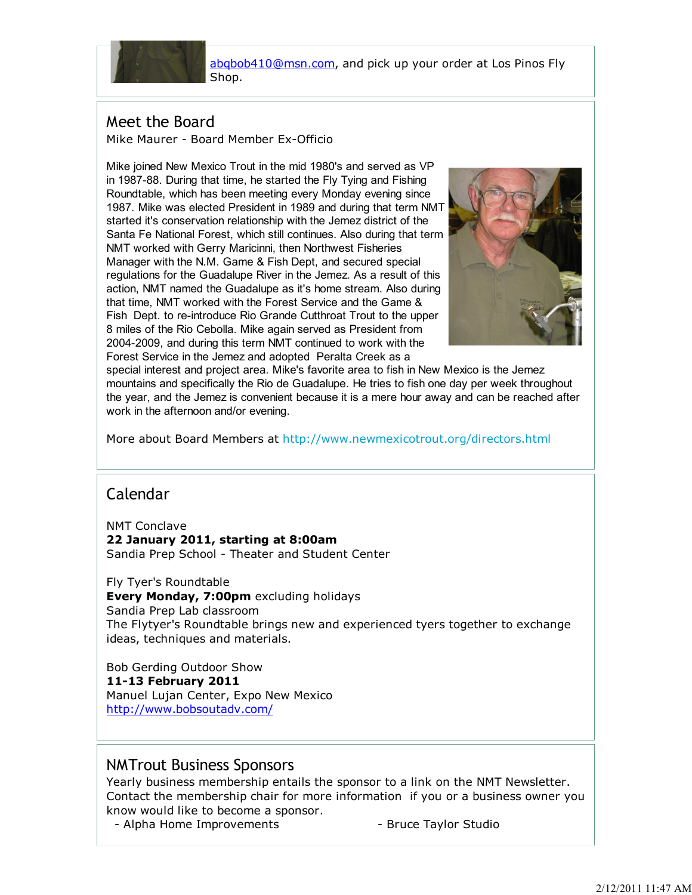

abqbob410@msn.com, and pick up your order at Los Pinos Fly Shop.

# Meet the Board

Mike Maurer - Board Member Ex-Officio

Mike joined New Mexico Trout in the mid 1980's and served as VP in 1987-88. During that time, he started the Fly Tying and Fishing Roundtable, which has been meeting every Monday evening since 1987. Mike was elected President in 1989 and during that term NMT started it's conservation relationship with the Jemez district of the Santa Fe National Forest, which still continues. Also during that term NMT worked with Gerry Maricinni, then Northwest Fisheries Manager with the N.M. Game & Fish Dept, and secured special regulations for the Guadalupe River in the Jemez. As a result of this action, NMT named the Guadalupe as it's home stream. Also during that time, NMT worked with the Forest Service and the Game & Fish Dept. to re-introduce Rio Grande Cutthroat Trout to the upper 8 miles of the Rio Cebolla. Mike again served as President from 2004-2009, and during this term NMT continued to work with the Forest Service in the Jemez and adopted Peralta Creek as a



special interest and project area. Mike's favorite area to fish in New Mexico is the Jemez mountains and specifically the Rio de Guadalupe. He tries to fish one day per week throughout the year, and the Jemez is convenient because it is a mere hour away and can be reached after work in the afternoon and/or evening.

More about Board Members at http://www.newmexicotrout.org/directors.html

### Calendar

NMT Conclave 22 January 2011, starting at 8:00am Sandia Prep School - Theater and Student Center

Fly Tyer's Roundtable Every Monday, 7:00pm excluding holidays Sandia Prep Lab classroom The Flytyer's Roundtable brings new and experienced tyers together to exchange ideas, techniques and materials.

Bob Gerding Outdoor Show 11-13 February 2011 Manuel Lujan Center, Expo New Mexico http://www.bobsoutadv.com/

### NMTrout Business Sponsors

Yearly business membership entails the sponsor to a link on the NMT Newsletter. Contact the membership chair for more information if you or a business owner you know would like to become a sponsor.

- Alpha Home Improvements - Bruce Taylor Studio